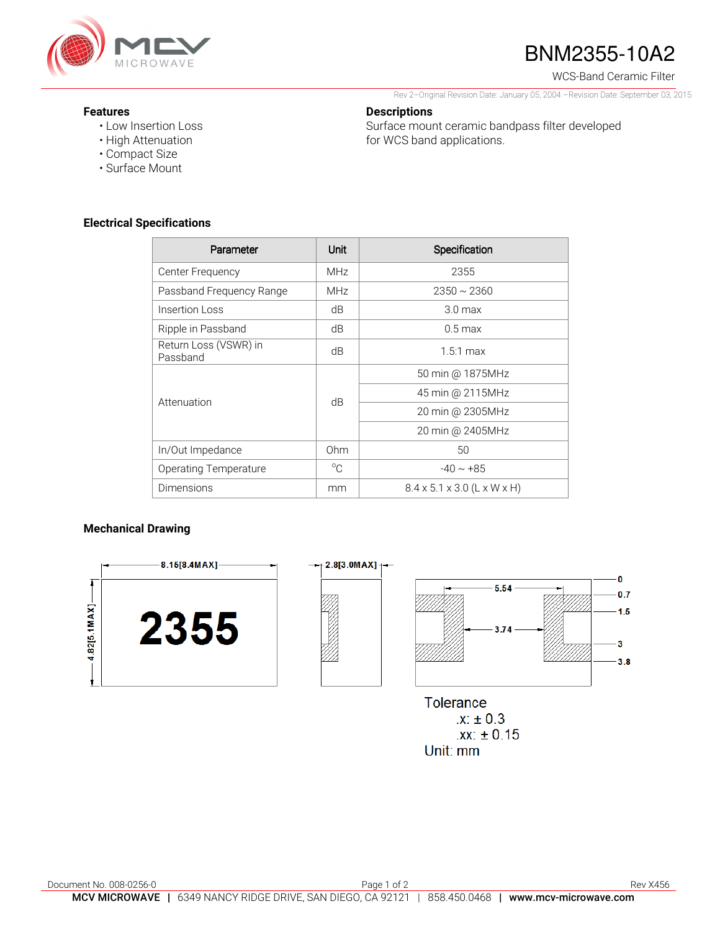

# BNM2355-10A2

WCS-Band Ceramic Filter

 $\mathbf{0}$ 

 $0.7$ 

 $1.5$ 

3  $3.8$ 

Rev 2–Original Revision Date: January 05, 2004 –Revision Date: September 03, 2015

Surface mount ceramic bandpass filter developed

#### **Features**

- Low Insertion Loss
- High Attenuation
- Compact Size
- Surface Mount

### **Electrical Specifications**

| Parameter                         | Unit        | Specification                           |
|-----------------------------------|-------------|-----------------------------------------|
| Center Frequency                  | <b>MHz</b>  | 2355                                    |
| Passband Frequency Range          | <b>MHz</b>  | $2350 \sim 2360$                        |
| Insertion Loss                    | dB          | 3.0 <sub>max</sub>                      |
| Ripple in Passband                | dB          | $0.5 \,\mathrm{max}$                    |
| Return Loss (VSWR) in<br>Passband | dB          | $1.5:1$ max                             |
| Attenuation                       | dB          | 50 min @ 1875MHz                        |
|                                   |             | 45 min @ 2115MHz                        |
|                                   |             | 20 min @ 2305MHz                        |
|                                   |             | 20 min @ 2405MHz                        |
| In/Out Impedance                  | Ohm         | 50                                      |
| Operating Temperature             | $^{\circ}C$ | $-40 \sim +85$                          |
| Dimensions                        | mm          | $8.4 \times 5.1 \times 3.0$ (L x W x H) |

**Descriptions** 

for WCS band applications.

#### **Mechanical Drawing**



**Tolerance**  $.X. \pm 0.3$  $.xx: ±0.15$ Unit: mm